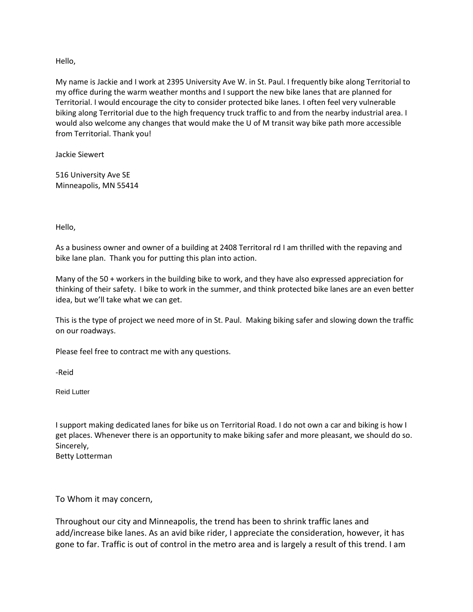Hello,

My name is Jackie and I work at 2395 University Ave W. in St. Paul. I frequently bike along Territorial to my office during the warm weather months and I support the new bike lanes that are planned for Territorial. I would encourage the city to consider protected bike lanes. I often feel very vulnerable biking along Territorial due to the high frequency truck traffic to and from the nearby industrial area. I would also welcome any changes that would make the U of M transit way bike path more accessible from Territorial. Thank you!

Jackie Siewert

516 University Ave SE Minneapolis, MN 55414

Hello,

As a business owner and owner of a building at 2408 Territoral rd I am thrilled with the repaving and bike lane plan. Thank you for putting this plan into action.

Many of the 50 + workers in the building bike to work, and they have also expressed appreciation for thinking of their safety. I bike to work in the summer, and think protected bike lanes are an even better idea, but we'll take what we can get.

This is the type of project we need more of in St. Paul. Making biking safer and slowing down the traffic on our roadways.

Please feel free to contract me with any questions.

-Reid

Reid Lutter

I support making dedicated lanes for bike us on Territorial Road. I do not own a car and biking is how I get places. Whenever there is an opportunity to make biking safer and more pleasant, we should do so. Sincerely, Betty Lotterman

To Whom it may concern,

Throughout our city and Minneapolis, the trend has been to shrink traffic lanes and add/increase bike lanes. As an avid bike rider, I appreciate the consideration, however, it has gone to far. Traffic is out of control in the metro area and is largely a result of this trend. I am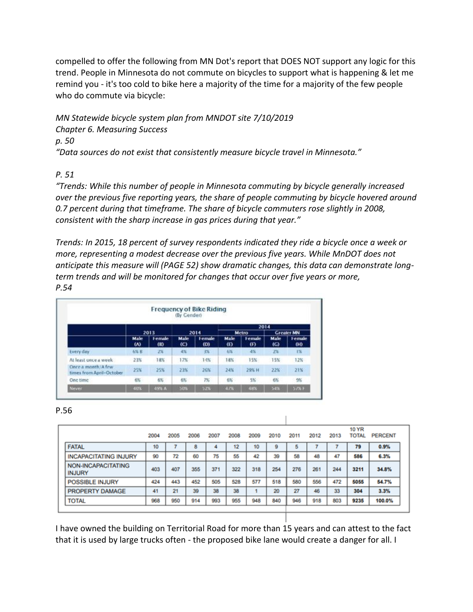compelled to offer the following from MN Dot's report that DOES NOT support any logic for this trend. People in Minnesota do not commute on bicycles to support what is happening & let me remind you - it's too cold to bike here a majority of the time for a majority of the few people who do commute via bicycle:

*MN Statewide bicycle system plan from MNDOT site 7/10/2019 Chapter 6. Measuring Success p. 50* 

*"Data sources do not exist that consistently measure bicycle travel in Minnesota."*

## *P. 51*

*"Trends: While this number of people in Minnesota commuting by bicycle generally increased over the previous five reporting years, the share of people commuting by bicycle hovered around 0.7 percent during that timeframe. The share of bicycle commuters rose slightly in 2008, consistent with the sharp increase in gas prices during that year."*

*Trends: In 2015, 18 percent of survey respondents indicated they ride a bicycle once a week or more, representing a modest decrease over the previous five years. While MnDOT does not anticipate this measure will (PAGE 52) show dramatic changes, this data can demonstrate longterm trends and will be monitored for changes that occur over five years or more, P.54*

| <b>Frequency of Bike Riding</b><br>(By Gender) |                  |                |             |               |                    |                    |                   |               |  |  |
|------------------------------------------------|------------------|----------------|-------------|---------------|--------------------|--------------------|-------------------|---------------|--|--|
|                                                |                  |                |             |               | 2014               |                    |                   |               |  |  |
|                                                | 2013             |                |             | 2014          |                    | Metro              | <b>Greater MN</b> |               |  |  |
|                                                | Male<br>$\omega$ | 1 emale<br>(B) | Male<br>(C) | Female<br>(D) | <b>Male</b><br>(E) | Female<br>$\sigma$ | Male<br>(G)       | Female<br>(H) |  |  |
| Every day                                      | 6% 8             | 2%             | 4%          | 3%            | 6%                 | 4%                 | 2%                | 1%            |  |  |
| At least once a week                           | 23%              | 18%            | 17%         | 14%           | 18%                | 15%                | 15%               | 12%           |  |  |
| Once a month/A few<br>times from April-October | 25%              | 25%            | 23%         | 26%           | 24%                | 29% H              | 22%               | 21%           |  |  |
| One time                                       | 6%               | 6%             | 6%          | 7%            | 6%                 | 5%                 | 6%                | 9%            |  |  |
| Never                                          | 40%              | 4906 A         | 50%         | 52%           | 47%                | 48%                | 54%               | 57% F         |  |  |

## P.56

|                                     | 2004 | 2005 | 2006 | 2007 | 2008 | 2009 | 2010 | 2011 | 2012 | 2013 | <b>10 YR</b><br><b>TOTAL</b> | <b>PERCENT</b> |
|-------------------------------------|------|------|------|------|------|------|------|------|------|------|------------------------------|----------------|
| <b>FATAL</b>                        | 10   |      | 8    | 4    | 12   | 10   | 9    | 5    |      |      | 79                           | 0.9%           |
| <b>INCAPACITATING INJURY</b>        | 90   | 72   | 60   | 75   | 55   | 42   | 39   | 58   | 48   | 47   | 586                          | 6.3%           |
| NON-INCAPACITATING<br><b>INJURY</b> | 403  | 407  | 355  | 371  | 322  | 318  | 254  | 276  | 261  | 244  | 3211                         | 34.8%          |
| <b>POSSIBLE INJURY</b>              | 424  | 443  | 452  | 505  | 528  | 577  | 518  | 580  | 556  | 472  | 5055                         | 54.7%          |
| PROPERTY DAMAGE                     | 41   | 21   | 39   | 38   | 38   |      | 20   | 27   | 46   | 33   | 304                          | 3.3%           |
| <b>TOTAL</b>                        | 968  | 950  | 914  | 993  | 955  | 948  | 840  | 946  | 918  | 803  | 9235                         | 100.0%         |
|                                     |      |      |      |      |      |      |      |      |      |      |                              |                |

I have owned the building on Territorial Road for more than 15 years and can attest to the fact that it is used by large trucks often - the proposed bike lane would create a danger for all. I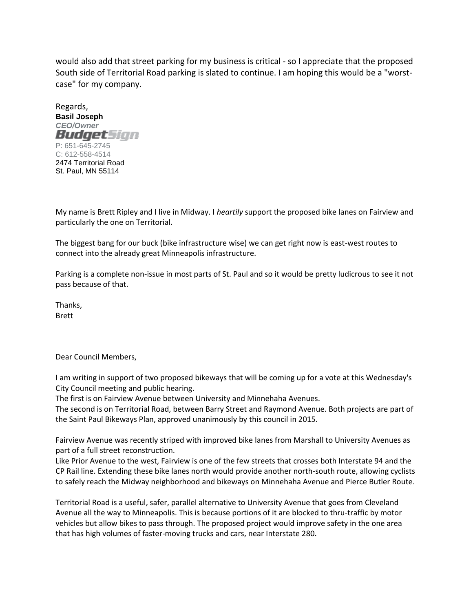would also add that street parking for my business is critical - so I appreciate that the proposed South side of Territorial Road parking is slated to continue. I am hoping this would be a "worstcase" for my company.



My name is Brett Ripley and I live in Midway. I *heartily* support the proposed bike lanes on Fairview and particularly the one on Territorial.

The biggest bang for our buck (bike infrastructure wise) we can get right now is east-west routes to connect into the already great Minneapolis infrastructure.

Parking is a complete non-issue in most parts of St. Paul and so it would be pretty ludicrous to see it not pass because of that.

Thanks, Brett

## Dear Council Members,

I am writing in support of two proposed bikeways that will be coming up for a vote at this Wednesday's City Council meeting and public hearing.

The first is on Fairview Avenue between University and Minnehaha Avenues.

The second is on Territorial Road, between Barry Street and Raymond Avenue. Both projects are part of the Saint Paul Bikeways Plan, approved unanimously by this council in 2015.

Fairview Avenue was recently striped with improved bike lanes from Marshall to University Avenues as part of a full street reconstruction.

Like Prior Avenue to the west, Fairview is one of the few streets that crosses both Interstate 94 and the CP Rail line. Extending these bike lanes north would provide another north-south route, allowing cyclists to safely reach the Midway neighborhood and bikeways on Minnehaha Avenue and Pierce Butler Route.

Territorial Road is a useful, safer, parallel alternative to University Avenue that goes from Cleveland Avenue all the way to Minneapolis. This is because portions of it are blocked to thru-traffic by motor vehicles but allow bikes to pass through. The proposed project would improve safety in the one area that has high volumes of faster-moving trucks and cars, near Interstate 280.